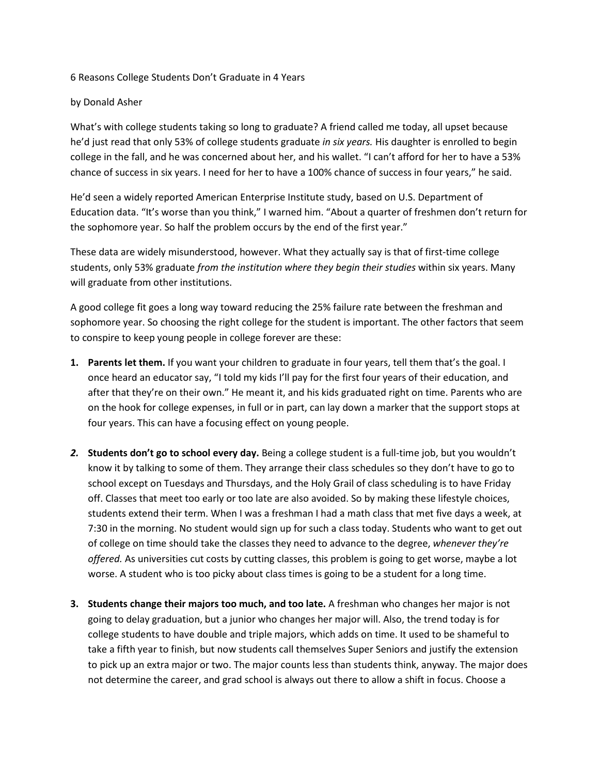## 6 Reasons College Students Don't Graduate in 4 Years

## by Donald Asher

What's with college students taking so long to graduate? A friend called me today, all upset because he'd just read that only 53% of college students graduate *in six years.* His daughter is enrolled to begin college in the fall, and he was concerned about her, and his wallet. "I can't afford for her to have a 53% chance of success in six years. I need for her to have a 100% chance of success in four years," he said.

He'd seen a widely reported American Enterprise Institute study, based on U.S. Department of Education data. "It's worse than you think," I warned him. "About a quarter of freshmen don't return for the sophomore year. So half the problem occurs by the end of the first year."

These data are widely misunderstood, however. What they actually say is that of first-time college students, only 53% graduate *from the institution where they begin their studies* within six years. Many will graduate from other institutions.

A good college fit goes a long way toward reducing the 25% failure rate between the freshman and sophomore year. So choosing the right college for the student is important. The other factors that seem to conspire to keep young people in college forever are these:

- **1. Parents let them.** If you want your children to graduate in four years, tell them that's the goal. I once heard an educator say, "I told my kids I'll pay for the first four years of their education, and after that they're on their own." He meant it, and his kids graduated right on time. Parents who are on the hook for college expenses, in full or in part, can lay down a marker that the support stops at four years. This can have a focusing effect on young people.
- *2.* **Students don't go to school every day.** Being a college student is a full-time job, but you wouldn't know it by talking to some of them. They arrange their class schedules so they don't have to go to school except on Tuesdays and Thursdays, and the Holy Grail of class scheduling is to have Friday off. Classes that meet too early or too late are also avoided. So by making these lifestyle choices, students extend their term. When I was a freshman I had a math class that met five days a week, at 7:30 in the morning. No student would sign up for such a class today. Students who want to get out of college on time should take the classes they need to advance to the degree, *whenever they're offered.* As universities cut costs by cutting classes, this problem is going to get worse, maybe a lot worse. A student who is too picky about class times is going to be a student for a long time.
- **3. Students change their majors too much, and too late.** A freshman who changes her major is not going to delay graduation, but a junior who changes her major will. Also, the trend today is for college students to have double and triple majors, which adds on time. It used to be shameful to take a fifth year to finish, but now students call themselves Super Seniors and justify the extension to pick up an extra major or two. The major counts less than students think, anyway. The major does not determine the career, and grad school is always out there to allow a shift in focus. Choose a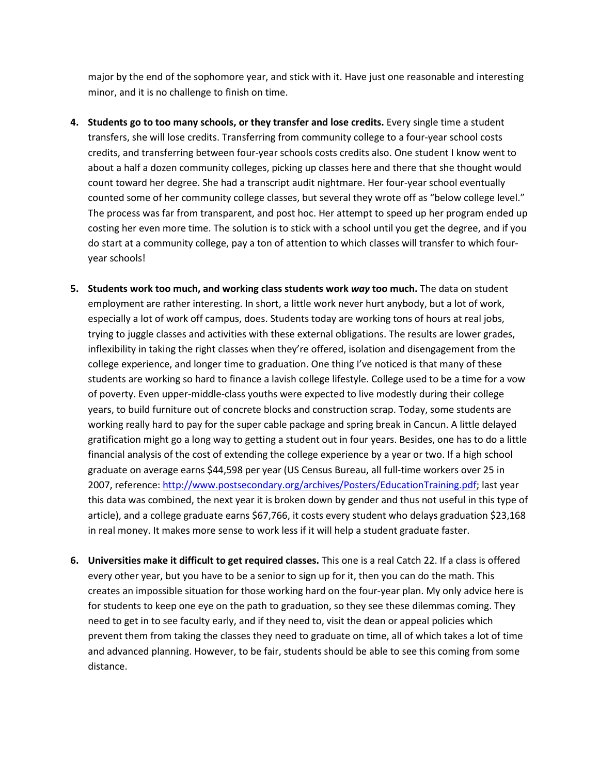major by the end of the sophomore year, and stick with it. Have just one reasonable and interesting minor, and it is no challenge to finish on time.

- **4. Students go to too many schools, or they transfer and lose credits.** Every single time a student transfers, she will lose credits. Transferring from community college to a four-year school costs credits, and transferring between four-year schools costs credits also. One student I know went to about a half a dozen community colleges, picking up classes here and there that she thought would count toward her degree. She had a transcript audit nightmare. Her four-year school eventually counted some of her community college classes, but several they wrote off as "below college level." The process was far from transparent, and post hoc. Her attempt to speed up her program ended up costing her even more time. The solution is to stick with a school until you get the degree, and if you do start at a community college, pay a ton of attention to which classes will transfer to which fouryear schools!
- **5. Students work too much, and working class students work** *way* **too much.** The data on student employment are rather interesting. In short, a little work never hurt anybody, but a lot of work, especially a lot of work off campus, does. Students today are working tons of hours at real jobs, trying to juggle classes and activities with these external obligations. The results are lower grades, inflexibility in taking the right classes when they're offered, isolation and disengagement from the college experience, and longer time to graduation. One thing I've noticed is that many of these students are working so hard to finance a lavish college lifestyle. College used to be a time for a vow of poverty. Even upper-middle-class youths were expected to live modestly during their college years, to build furniture out of concrete blocks and construction scrap. Today, some students are working really hard to pay for the super cable package and spring break in Cancun. A little delayed gratification might go a long way to getting a student out in four years. Besides, one has to do a little financial analysis of the cost of extending the college experience by a year or two. If a high school graduate on average earns \$44,598 per year (US Census Bureau, all full-time workers over 25 in 2007, reference: [http://www.postsecondary.org/archives/Posters/EducationTraining.pdf;](http://www.postsecondary.org/archives/Posters/EducationTraining.pdf) last year this data was combined, the next year it is broken down by gender and thus not useful in this type of article), and a college graduate earns \$67,766, it costs every student who delays graduation \$23,168 in real money. It makes more sense to work less if it will help a student graduate faster.
- **6. Universities make it difficult to get required classes.** This one is a real Catch 22. If a class is offered every other year, but you have to be a senior to sign up for it, then you can do the math. This creates an impossible situation for those working hard on the four-year plan. My only advice here is for students to keep one eye on the path to graduation, so they see these dilemmas coming. They need to get in to see faculty early, and if they need to, visit the dean or appeal policies which prevent them from taking the classes they need to graduate on time, all of which takes a lot of time and advanced planning. However, to be fair, students should be able to see this coming from some distance.